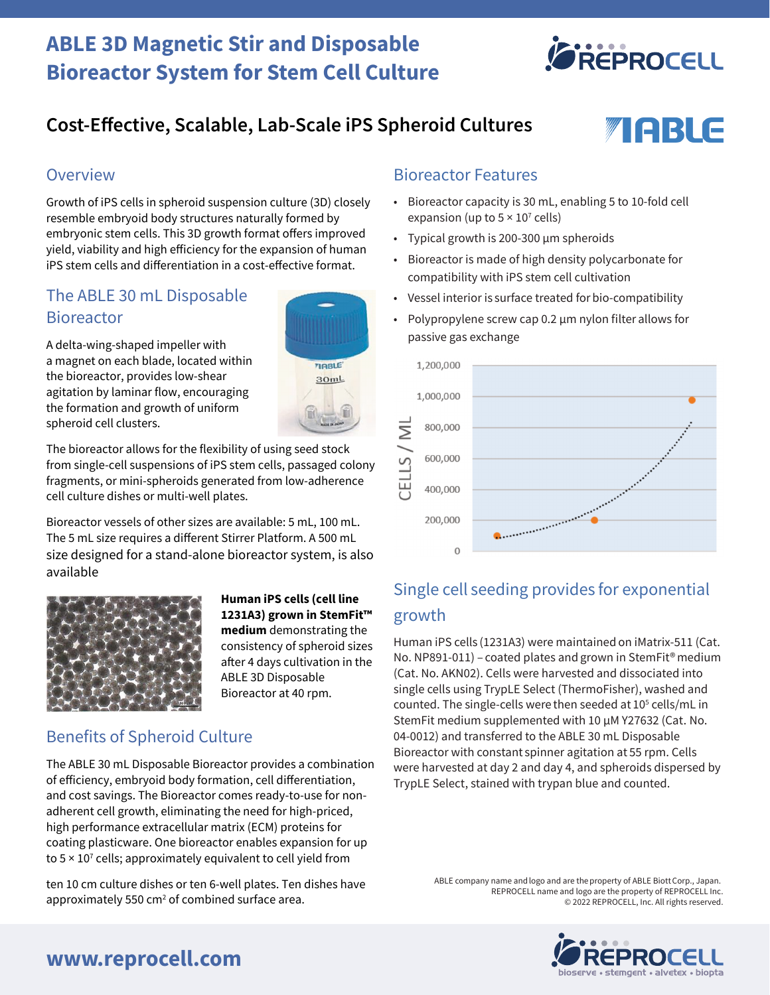# **ABLE 3D Magnetic Stir and Disposable Bioreactor System for Stem Cell Culture**



TABLE

# **Cost-Effective, Scalable, Lab-Scale iPS Spheroid Cultures**

### **Overview**

Growth of iPS cells in spheroid suspension culture (3D) closely resemble embryoid body structures naturally formed by embryonic stem cells. This 3D growth format offers improved yield, viability and high efficiency for the expansion of human iPS stem cells and differentiation in a cost-effective format.

### The ABLE 30 mL Disposable **Bioreactor**

A delta-wing-shaped impeller with a magnet on each blade, located within the bioreactor, provides low-shear agitation by laminar flow, encouraging the formation and growth of uniform spheroid cell clusters.

The bioreactor allows for the flexibility of using seed stock from single-cell suspensions of iPS stem cells, passaged colony fragments, or mini-spheroids generated from low-adherence cell culture dishes or multi-well plates.

Bioreactor vessels of other sizes are available: 5 mL, 100 mL. The 5 mL size requires a different Stirrer Platform. A 500 mL size designed for a stand-alone bioreactor system, is also available



#### **Human iPS cells (cell line 1231A3) grown in StemFit™ medium** demonstrating the consistency of spheroid sizes after 4 days cultivation in the ABLE 3D Disposable Bioreactor at 40 rpm.

TIRBLE

 $30mL$ 

### Benefits of Spheroid Culture

The ABLE 30 mL Disposable Bioreactor provides a combination of efficiency, embryoid body formation, cell differentiation, and cost savings. The Bioreactor comes ready-to-use for nonadherent cell growth, eliminating the need for high-priced, high performance extracellular matrix (ECM) proteins for coating plasticware. One bioreactor enables expansion for up to  $5 \times 10^7$  cells; approximately equivalent to cell yield from

ten 10 cm culture dishes or ten 6-well plates. Ten dishes have approximately 550  $cm<sup>2</sup>$  of combined surface area.

### Bioreactor Features

- Bioreactor capacity is 30 mL, enabling 5 to 10-fold cell expansion (up to  $5 \times 10^7$  cells)
- Typical growth is 200-300 µm spheroids
- Bioreactor is made of high density polycarbonate for compatibility with iPS stem cell cultivation
- Vessel interior is surface treated for bio-compatibility
- Polypropylene screw cap 0.2 µm nylon filter allows for passive gas exchange



# Single cell seeding provides for exponential growth

Human iPS cells (1231A3) were maintained on iMatrix-511 (Cat. No. NP891-011) – coated plates and grown in StemFit<sup>®</sup> medium (Cat. No. AKN02). Cells were harvested and dissociated into single cells using TrypLE Select (ThermoFisher), washed and counted. The single-cells were then seeded at 10<sup>5</sup> cells/mL in StemFit medium supplemented with 10 µM Y27632 (Cat. No. 04-0012) and transferred to the ABLE 30 mL Disposable Bioreactor with constant spinner agitation at 55 rpm. Cells were harvested at day 2 and day 4, and spheroids dispersed by TrypLE Select, stained with trypan blue and counted.

> ABLE company name and logo and are the property of ABLE Biott Corp., Japan. REPROCELL name and logo are the property of REPROCELL Inc. © 2022 REPROCELL, Inc. All rights reserved.



## **www.reprocell.com**